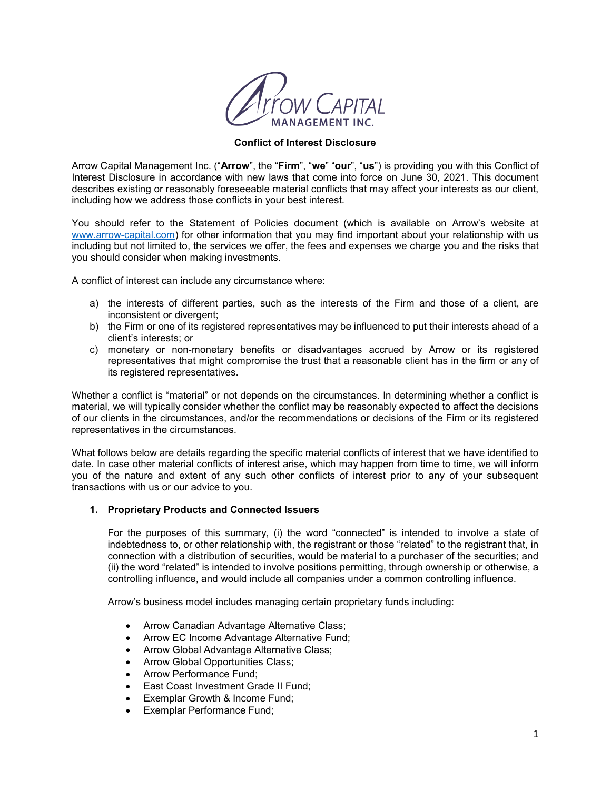

### **Conflict of Interest Disclosure**

Arrow Capital Management Inc. ("**Arrow**", the "**Firm**", "**we**" "**our**", "**us**") is providing you with this Conflict of Interest Disclosure in accordance with new laws that come into force on June 30, 2021. This document describes existing or reasonably foreseeable material conflicts that may affect your interests as our client, including how we address those conflicts in your best interest.

You should refer to the Statement of Policies document (which is available on Arrow's website at www.arrow-capital.com) for other information that you may find important about your relationship with us including but not limited to, the services we offer, the fees and expenses we charge you and the risks that you should consider when making investments.

A conflict of interest can include any circumstance where:

- a) the interests of different parties, such as the interests of the Firm and those of a client, are inconsistent or divergent;
- b) the Firm or one of its registered representatives may be influenced to put their interests ahead of a client's interests; or
- c) monetary or non-monetary benefits or disadvantages accrued by Arrow or its registered representatives that might compromise the trust that a reasonable client has in the firm or any of its registered representatives.

Whether a conflict is "material" or not depends on the circumstances. In determining whether a conflict is material, we will typically consider whether the conflict may be reasonably expected to affect the decisions of our clients in the circumstances, and/or the recommendations or decisions of the Firm or its registered representatives in the circumstances.

What follows below are details regarding the specific material conflicts of interest that we have identified to date. In case other material conflicts of interest arise, which may happen from time to time, we will inform you of the nature and extent of any such other conflicts of interest prior to any of your subsequent transactions with us or our advice to you.

## **1. Proprietary Products and Connected Issuers**

For the purposes of this summary, (i) the word "connected" is intended to involve a state of indebtedness to, or other relationship with, the registrant or those "related" to the registrant that, in connection with a distribution of securities, would be material to a purchaser of the securities; and (ii) the word "related" is intended to involve positions permitting, through ownership or otherwise, a controlling influence, and would include all companies under a common controlling influence.

Arrow's business model includes managing certain proprietary funds including:

- Arrow Canadian Advantage Alternative Class;
- Arrow EC Income Advantage Alternative Fund;
- Arrow Global Advantage Alternative Class;
- Arrow Global Opportunities Class;
- Arrow Performance Fund;
- East Coast Investment Grade II Fund;
- Exemplar Growth & Income Fund;
- Exemplar Performance Fund;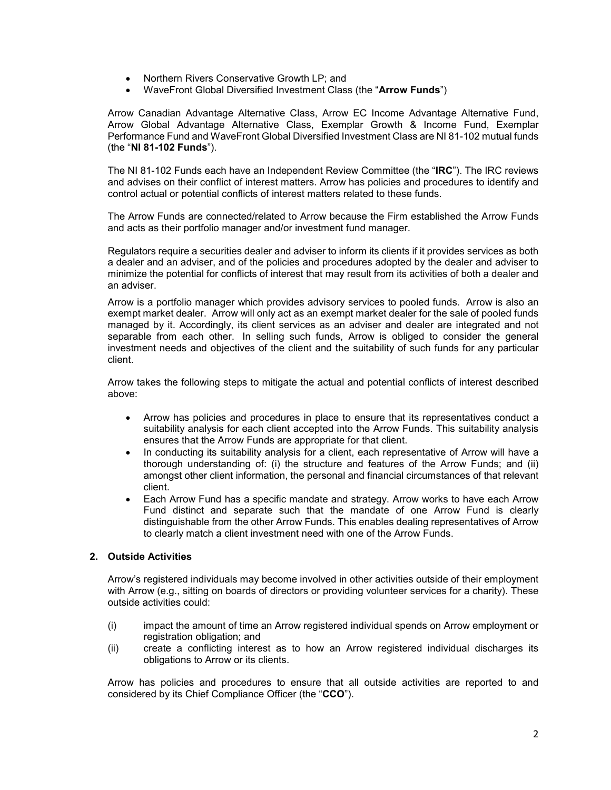- Northern Rivers Conservative Growth LP; and
- WaveFront Global Diversified Investment Class (the "**Arrow Funds**")

Arrow Canadian Advantage Alternative Class, Arrow EC Income Advantage Alternative Fund, Arrow Global Advantage Alternative Class, Exemplar Growth & Income Fund, Exemplar Performance Fund and WaveFront Global Diversified Investment Class are NI 81-102 mutual funds (the "**NI 81-102 Funds**").

The NI 81-102 Funds each have an Independent Review Committee (the "**IRC**"). The IRC reviews and advises on their conflict of interest matters. Arrow has policies and procedures to identify and control actual or potential conflicts of interest matters related to these funds.

The Arrow Funds are connected/related to Arrow because the Firm established the Arrow Funds and acts as their portfolio manager and/or investment fund manager.

Regulators require a securities dealer and adviser to inform its clients if it provides services as both a dealer and an adviser, and of the policies and procedures adopted by the dealer and adviser to minimize the potential for conflicts of interest that may result from its activities of both a dealer and an adviser.

Arrow is a portfolio manager which provides advisory services to pooled funds. Arrow is also an exempt market dealer. Arrow will only act as an exempt market dealer for the sale of pooled funds managed by it. Accordingly, its client services as an adviser and dealer are integrated and not separable from each other. In selling such funds, Arrow is obliged to consider the general investment needs and objectives of the client and the suitability of such funds for any particular client.

Arrow takes the following steps to mitigate the actual and potential conflicts of interest described above:

- Arrow has policies and procedures in place to ensure that its representatives conduct a suitability analysis for each client accepted into the Arrow Funds. This suitability analysis ensures that the Arrow Funds are appropriate for that client.
- In conducting its suitability analysis for a client, each representative of Arrow will have a thorough understanding of: (i) the structure and features of the Arrow Funds; and (ii) amongst other client information, the personal and financial circumstances of that relevant client.
- Each Arrow Fund has a specific mandate and strategy. Arrow works to have each Arrow Fund distinct and separate such that the mandate of one Arrow Fund is clearly distinguishable from the other Arrow Funds. This enables dealing representatives of Arrow to clearly match a client investment need with one of the Arrow Funds.

# **2. Outside Activities**

Arrow's registered individuals may become involved in other activities outside of their employment with Arrow (e.g., sitting on boards of directors or providing volunteer services for a charity). These outside activities could:

- (i) impact the amount of time an Arrow registered individual spends on Arrow employment or registration obligation; and
- (ii) create a conflicting interest as to how an Arrow registered individual discharges its obligations to Arrow or its clients.

Arrow has policies and procedures to ensure that all outside activities are reported to and considered by its Chief Compliance Officer (the "**CCO**").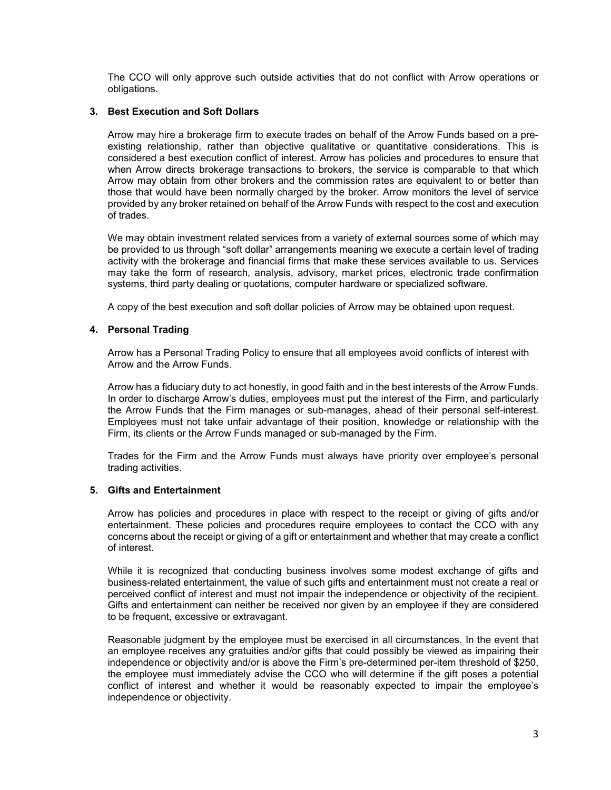The CCO will only approve such outside activities that do not conflict with Arrow operations or obligations.

## **3. Best Execution and Soft Dollars**

Arrow may hire a brokerage firm to execute trades on behalf of the Arrow Funds based on a preexisting relationship, rather than objective qualitative or quantitative considerations. This is considered a best execution conflict of interest. Arrow has policies and procedures to ensure that when Arrow directs brokerage transactions to brokers, the service is comparable to that which Arrow may obtain from other brokers and the commission rates are equivalent to or better than those that would have been normally charged by the broker. Arrow monitors the level of service provided by any broker retained on behalf of the Arrow Funds with respect to the cost and execution of trades.

We may obtain investment related services from a variety of external sources some of which may be provided to us through "soft dollar" arrangements meaning we execute a certain level of trading activity with the brokerage and financial firms that make these services available to us. Services may take the form of research, analysis, advisory, market prices, electronic trade confirmation systems, third party dealing or quotations, computer hardware or specialized software.

A copy of the best execution and soft dollar policies of Arrow may be obtained upon request.

## **4. Personal Trading**

Arrow has a Personal Trading Policy to ensure that all employees avoid conflicts of interest with Arrow and the Arrow Funds.

Arrow has a fiduciary duty to act honestly, in good faith and in the best interests of the Arrow Funds. In order to discharge Arrow's duties, employees must put the interest of the Firm, and particularly the Arrow Funds that the Firm manages or sub-manages, ahead of their personal self-interest. Employees must not take unfair advantage of their position, knowledge or relationship with the Firm, its clients or the Arrow Funds managed or sub-managed by the Firm.

Trades for the Firm and the Arrow Funds must always have priority over employee's personal trading activities.

### **5. Gifts and Entertainment**

Arrow has policies and procedures in place with respect to the receipt or giving of gifts and/or entertainment. These policies and procedures require employees to contact the CCO with any concerns about the receipt or giving of a gift or entertainment and whether that may create a conflict of interest.

While it is recognized that conducting business involves some modest exchange of gifts and business-related entertainment, the value of such gifts and entertainment must not create a real or perceived conflict of interest and must not impair the independence or objectivity of the recipient. Gifts and entertainment can neither be received nor given by an employee if they are considered to be frequent, excessive or extravagant.

Reasonable judgment by the employee must be exercised in all circumstances. In the event that an employee receives any gratuities and/or gifts that could possibly be viewed as impairing their independence or objectivity and/or is above the Firm's pre-determined per-item threshold of \$250, the employee must immediately advise the CCO who will determine if the gift poses a potential conflict of interest and whether it would be reasonably expected to impair the employee's independence or objectivity.